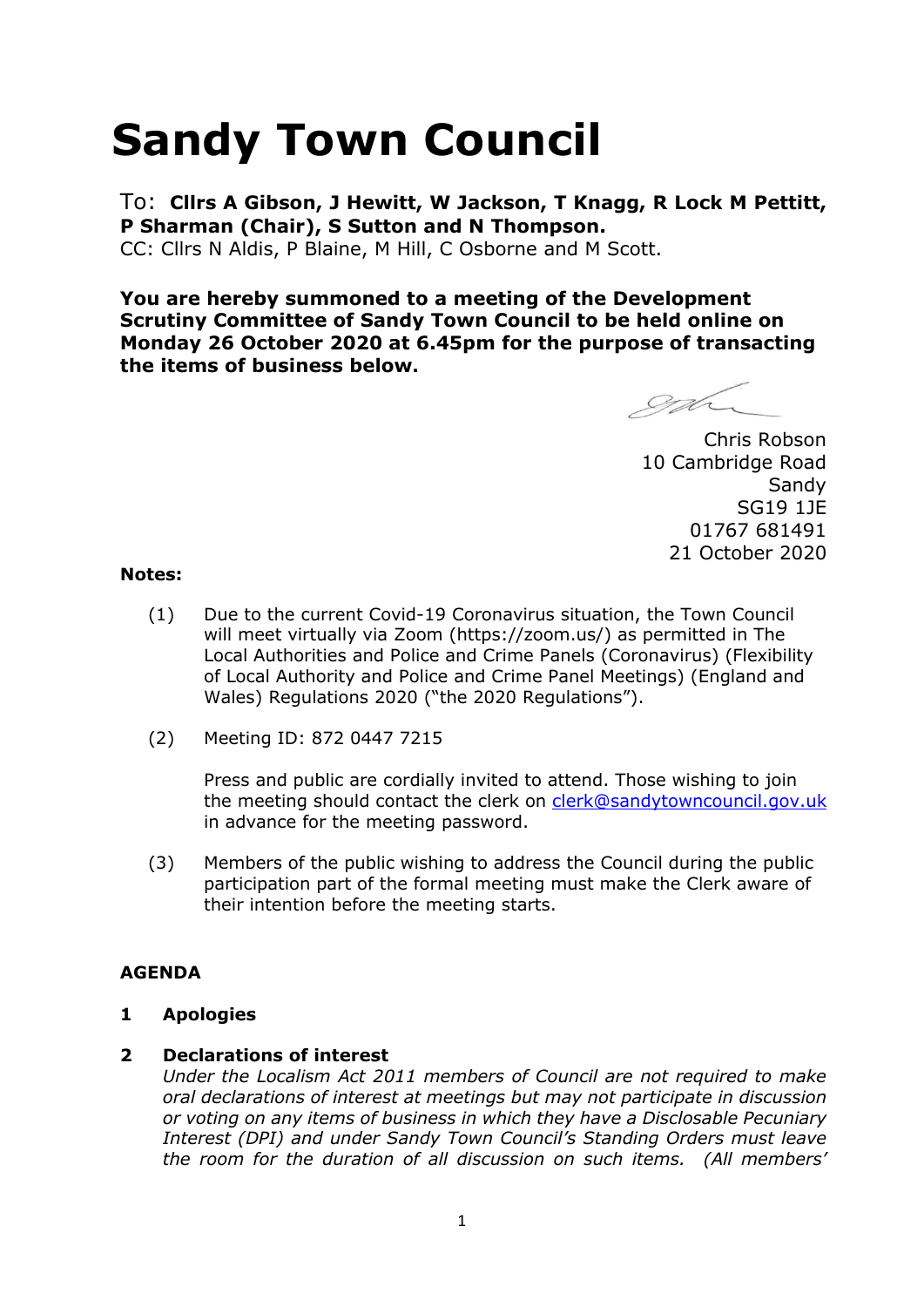# **Sandy Town Council**

To: **Cllrs A Gibson, J Hewitt, W Jackson, T Knagg, R Lock M Pettitt, P Sharman (Chair), S Sutton and N Thompson.** 

CC: Cllrs N Aldis, P Blaine, M Hill, C Osborne and M Scott.

**You are hereby summoned to a meeting of the Development Scrutiny Committee of Sandy Town Council to be held online on Monday 26 October 2020 at 6.45pm for the purpose of transacting the items of business below.**

gd

Chris Robson 10 Cambridge Road **Sandy** SG19 1JE 01767 681491 21 October 2020

#### **Notes:**

- (1) Due to the current Covid-19 Coronavirus situation, the Town Council will meet virtually via Zoom (https://zoom.us/) as permitted in The Local Authorities and Police and Crime Panels (Coronavirus) (Flexibility of Local Authority and Police and Crime Panel Meetings) (England and Wales) Regulations 2020 ("the 2020 Regulations").
- (2) Meeting ID: 872 0447 7215

Press and public are cordially invited to attend. Those wishing to join the meeting should contact the clerk on [clerk@sandytowncouncil.gov.uk](mailto:clerk@sandytowncouncil.gov.uk) in advance for the meeting password.

(3) Members of the public wishing to address the Council during the public participation part of the formal meeting must make the Clerk aware of their intention before the meeting starts.

## **AGENDA**

## **1 Apologies**

## **2 Declarations of interest**

*Under the Localism Act 2011 members of Council are not required to make oral declarations of interest at meetings but may not participate in discussion or voting on any items of business in which they have a Disclosable Pecuniary Interest (DPI) and under Sandy Town Council's Standing Orders must leave the room for the duration of all discussion on such items. (All members'*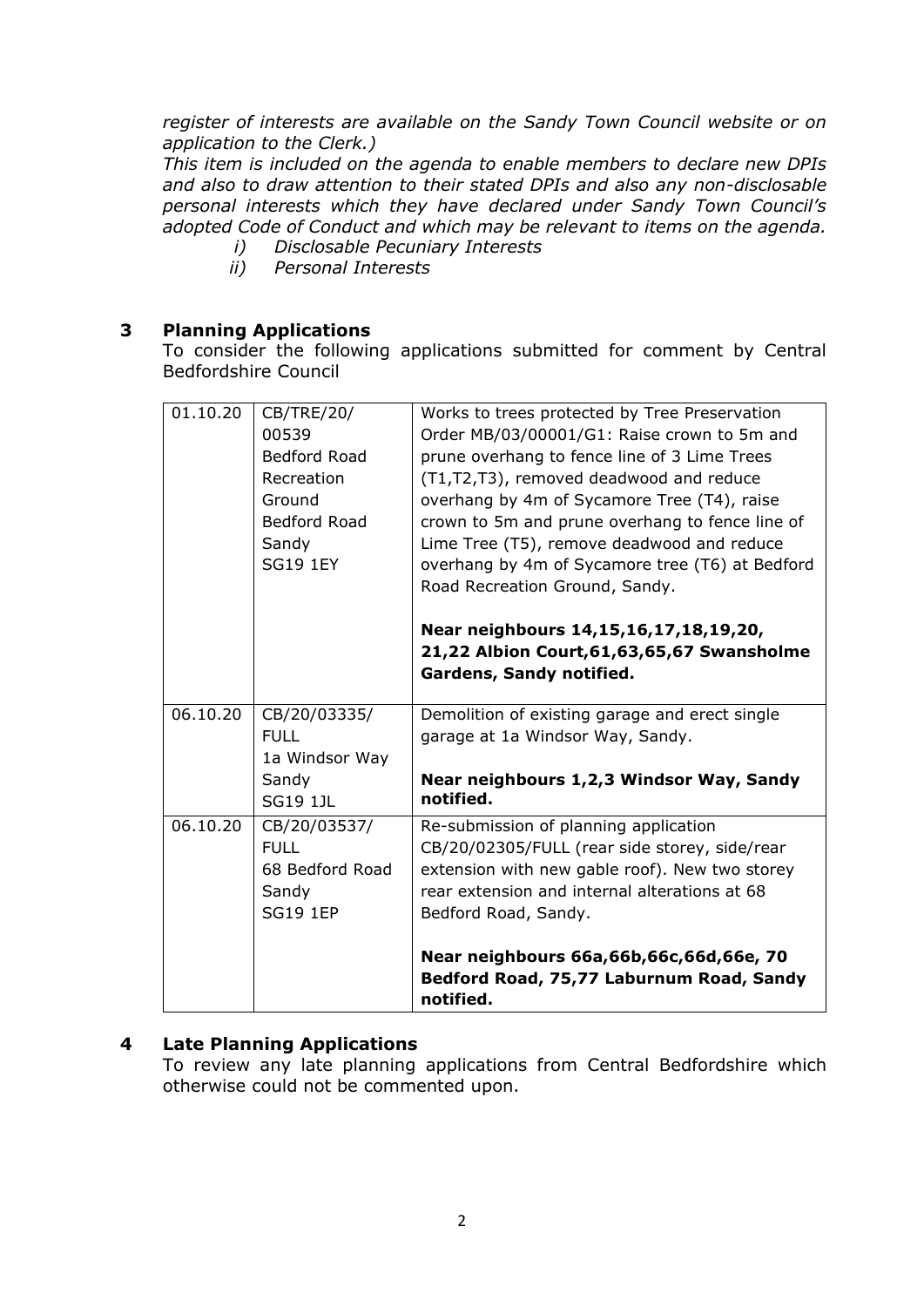*register of interests are available on the Sandy Town Council website or on application to the Clerk.)* 

*This item is included on the agenda to enable members to declare new DPIs and also to draw attention to their stated DPIs and also any non-disclosable personal interests which they have declared under Sandy Town Council's adopted Code of Conduct and which may be relevant to items on the agenda.* 

- *i) Disclosable Pecuniary Interests*
- *ii) Personal Interests*

## **3 Planning Applications**

To consider the following applications submitted for comment by Central Bedfordshire Council

| 01.10.20 | CB/TRE/20/<br>00539<br>Bedford Road<br>Recreation<br>Ground<br>Bedford Road<br>Sandy<br><b>SG19 1EY</b> | Works to trees protected by Tree Preservation<br>Order MB/03/00001/G1: Raise crown to 5m and<br>prune overhang to fence line of 3 Lime Trees<br>(T1,T2,T3), removed deadwood and reduce<br>overhang by 4m of Sycamore Tree (T4), raise<br>crown to 5m and prune overhang to fence line of<br>Lime Tree (T5), remove deadwood and reduce<br>overhang by 4m of Sycamore tree (T6) at Bedford<br>Road Recreation Ground, Sandy.<br>Near neighbours 14,15,16,17,18,19,20,<br>21,22 Albion Court, 61, 63, 65, 67 Swansholme<br>Gardens, Sandy notified. |
|----------|---------------------------------------------------------------------------------------------------------|----------------------------------------------------------------------------------------------------------------------------------------------------------------------------------------------------------------------------------------------------------------------------------------------------------------------------------------------------------------------------------------------------------------------------------------------------------------------------------------------------------------------------------------------------|
| 06.10.20 | CB/20/03335/<br><b>FULL</b><br>1a Windsor Way<br>Sandy<br><b>SG19 1JL</b>                               | Demolition of existing garage and erect single<br>garage at 1a Windsor Way, Sandy.<br>Near neighbours 1,2,3 Windsor Way, Sandy<br>notified.                                                                                                                                                                                                                                                                                                                                                                                                        |
| 06.10.20 | CB/20/03537/<br><b>FULL</b><br>68 Bedford Road<br>Sandy<br><b>SG19 1EP</b>                              | Re-submission of planning application<br>CB/20/02305/FULL (rear side storey, side/rear<br>extension with new gable roof). New two storey<br>rear extension and internal alterations at 68<br>Bedford Road, Sandy.<br>Near neighbours 66a,66b,66c,66d,66e, 70<br>Bedford Road, 75,77 Laburnum Road, Sandy                                                                                                                                                                                                                                           |
|          |                                                                                                         | notified.                                                                                                                                                                                                                                                                                                                                                                                                                                                                                                                                          |

## **4 Late Planning Applications**

To review any late planning applications from Central Bedfordshire which otherwise could not be commented upon.